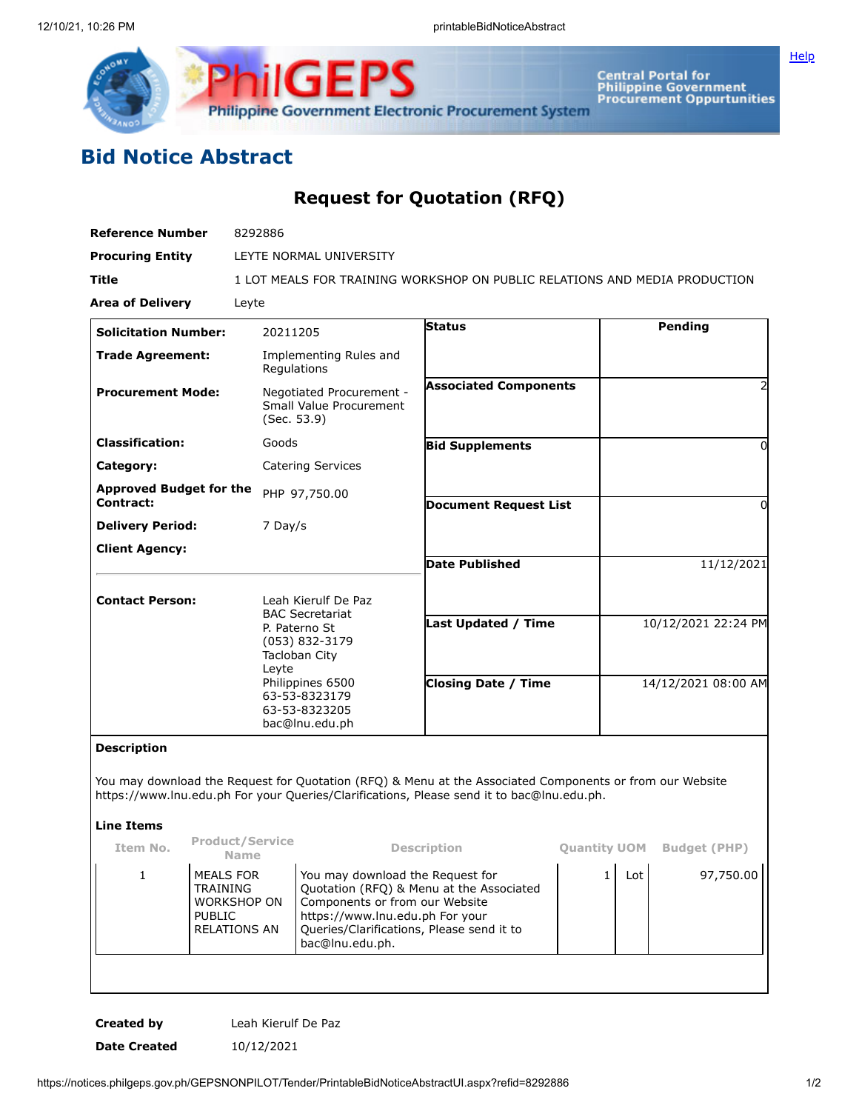

**Central Portal for<br>Philippine Government<br>Procurement Oppurtunities** 

**[Help](javascript:void(window.open()** 

## **Bid Notice Abstract**

## **Request for Quotation (RFQ)**

| 8292886                                                                                                       |                |                                                                                                   |                                                                                                                                                                                                                                                                  |                                                                                     |                                                                                                                                                                                                                       |
|---------------------------------------------------------------------------------------------------------------|----------------|---------------------------------------------------------------------------------------------------|------------------------------------------------------------------------------------------------------------------------------------------------------------------------------------------------------------------------------------------------------------------|-------------------------------------------------------------------------------------|-----------------------------------------------------------------------------------------------------------------------------------------------------------------------------------------------------------------------|
| LEYTE NORMAL UNIVERSITY                                                                                       |                |                                                                                                   |                                                                                                                                                                                                                                                                  |                                                                                     |                                                                                                                                                                                                                       |
| 1 LOT MEALS FOR TRAINING WORKSHOP ON PUBLIC RELATIONS AND MEDIA PRODUCTION                                    |                |                                                                                                   |                                                                                                                                                                                                                                                                  |                                                                                     |                                                                                                                                                                                                                       |
|                                                                                                               |                |                                                                                                   |                                                                                                                                                                                                                                                                  |                                                                                     |                                                                                                                                                                                                                       |
| 20211205                                                                                                      |                | <b>Status</b>                                                                                     |                                                                                                                                                                                                                                                                  | Pending                                                                             |                                                                                                                                                                                                                       |
| Implementing Rules and<br>Regulations                                                                         |                |                                                                                                   |                                                                                                                                                                                                                                                                  |                                                                                     |                                                                                                                                                                                                                       |
| Negotiated Procurement -<br>Small Value Procurement<br>(Sec. 53.9)                                            |                |                                                                                                   |                                                                                                                                                                                                                                                                  |                                                                                     |                                                                                                                                                                                                                       |
| Goods                                                                                                         |                |                                                                                                   |                                                                                                                                                                                                                                                                  |                                                                                     | 0                                                                                                                                                                                                                     |
| <b>Catering Services</b>                                                                                      |                |                                                                                                   |                                                                                                                                                                                                                                                                  |                                                                                     |                                                                                                                                                                                                                       |
| <b>Approved Budget for the</b><br>PHP 97,750.00                                                               |                |                                                                                                   |                                                                                                                                                                                                                                                                  |                                                                                     | 0                                                                                                                                                                                                                     |
| 7 Day/s                                                                                                       |                |                                                                                                   |                                                                                                                                                                                                                                                                  |                                                                                     |                                                                                                                                                                                                                       |
|                                                                                                               |                |                                                                                                   |                                                                                                                                                                                                                                                                  |                                                                                     |                                                                                                                                                                                                                       |
|                                                                                                               |                |                                                                                                   |                                                                                                                                                                                                                                                                  |                                                                                     | 11/12/2021                                                                                                                                                                                                            |
|                                                                                                               |                |                                                                                                   |                                                                                                                                                                                                                                                                  |                                                                                     |                                                                                                                                                                                                                       |
|                                                                                                               |                |                                                                                                   |                                                                                                                                                                                                                                                                  |                                                                                     | 10/12/2021 22:24 PM                                                                                                                                                                                                   |
| Philippines 6500<br>63-53-8323179<br>63-53-8323205<br>bac@lnu.edu.ph                                          |                | <b>Closing Date / Time</b>                                                                        |                                                                                                                                                                                                                                                                  | 14/12/2021 08:00 AM                                                                 |                                                                                                                                                                                                                       |
|                                                                                                               |                |                                                                                                   |                                                                                                                                                                                                                                                                  |                                                                                     |                                                                                                                                                                                                                       |
|                                                                                                               |                |                                                                                                   |                                                                                                                                                                                                                                                                  |                                                                                     |                                                                                                                                                                                                                       |
|                                                                                                               |                |                                                                                                   |                                                                                                                                                                                                                                                                  |                                                                                     |                                                                                                                                                                                                                       |
| <b>Product/Service</b><br><b>Name</b>                                                                         |                |                                                                                                   |                                                                                                                                                                                                                                                                  |                                                                                     | <b>Quantity UOM</b> Budget (PHP)                                                                                                                                                                                      |
| MEALS FOR<br><b>TRAINING</b><br><b>WORKSHOP ON</b><br><b>PUBLIC</b><br><b>RELATIONS AN</b><br>bac@lnu.edu.ph. |                |                                                                                                   |                                                                                                                                                                                                                                                                  | Lot                                                                                 | 97,750.00                                                                                                                                                                                                             |
|                                                                                                               | Leyte<br>Leyte | Leah Kierulf De Paz<br><b>BAC Secretariat</b><br>P. Paterno St<br>(053) 832-3179<br>Tacloban City | <b>Bid Supplements</b><br><b>Date Published</b><br>Description<br>You may download the Request for<br>Quotation (RFQ) & Menu at the Associated<br>Components or from our Website<br>https://www.lnu.edu.ph For your<br>Queries/Clarifications, Please send it to | <b>Associated Components</b><br><b>Document Request List</b><br>Last Updated / Time | You may download the Request for Quotation (RFQ) & Menu at the Associated Components or from our Website<br>https://www.lnu.edu.ph For your Queries/Clarifications, Please send it to bac@lnu.edu.ph.<br>$\mathbf{1}$ |

**Created by** Leah Kierulf De Paz **Date Created** 10/12/2021